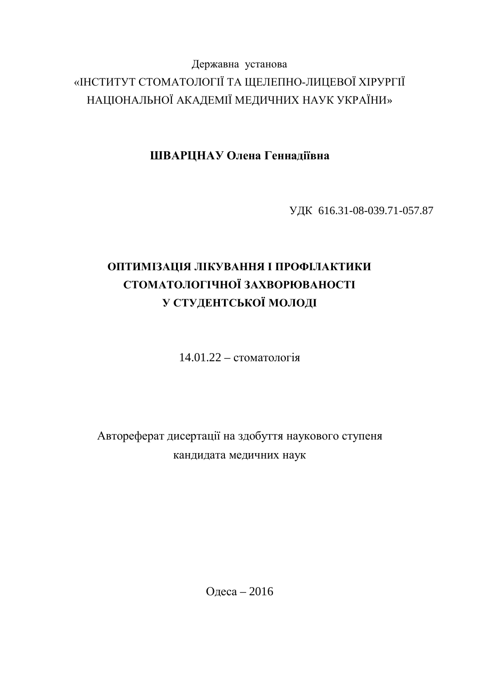## Державна установа «ІНСТИТУТ СТОМАТОЛОГІЇ ТА ЩЕЛЕПНО-ЛИЦЕВОЇ ХІРУРГІЇ НАЦІОНАЛЬНОЇ АКАДЕМІЇ МЕДИЧНИХ НАУК УКРАЇНИ»

ШВАРЦНАУ Олена Геннадіївна

ɍȾɄ 616.31-08-039.71-057.87

# **ОПТИМІЗАЦІЯ ЛІКУВАННЯ І ПРОФІЛАКТИКИ** СТОМАТОЛОГІЧНОЇ ЗАХВОРЮВАНОСТІ У СТУДЕНТСЬКОЇ МОЛОДІ

 $14.01.22 - c$ томатологія

Автореферат дисертації на здобуття наукового ступеня кандидата медичних наук

Одеса – 2016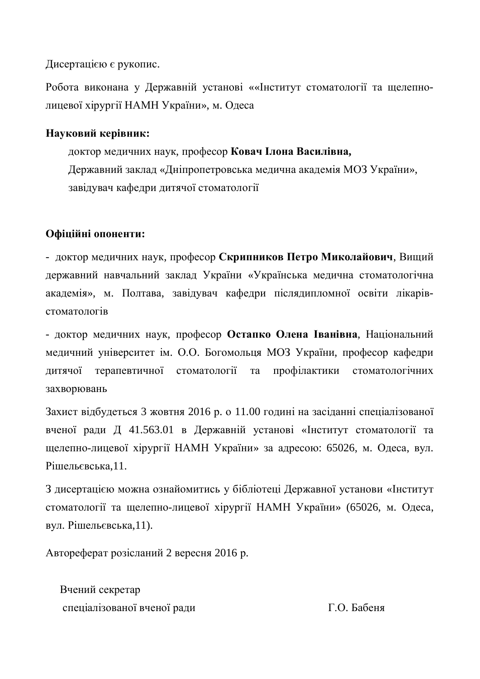Дисертацією є рукопис.

Робота виконана у Державній установі ««Інститут стоматології та щелепнолицевої хірургії НАМН України», м. Одеса

#### Науковий керівник:

доктор медичних наук, професор Ковач Ілона Василівна, Державний заклад «Дніпропетровська медична академія МОЗ України», завілувач кафелри литячої стоматології

### Офіційні опоненти:

- доктор медичних наук, професор Скрипников Петро Миколайович, Вищий державний навчальний заклад України «Українська медична стоматологічна академія», м. Полтава, завідувач кафедри післядипломної освіти лікарів $c$ томатопогів

- доктор медичних наук, професор Остапко Олена Іванівна, Національний медичний університет ім. О.О. Богомольця МОЗ України, професор кафедри дитячої терапевтичної стоматології та профілактики стоматологічних захворювань

Захист відбудеться 3 жовтня 2016 р. о 11.00 годині на засіданні спеціалізованої вченої ради Д 41.563.01 в Державній установі «Інститут стоматології та щелепно-лицевої хірургії НАМН України» за адресою: 65026, м. Одеса, вул. Рішельєвська.11.

З дисертацією можна ознайомитись у бібліотеці Державної установи «Інститут стоматології та щелепно-лицевої хірургії НАМН України» (65026, м. Одеса, вул. Рішельєвська,11).

Автореферат розісланий 2 вересня 2016 р.

Вчений секретар спеціалізованої вченої ради П.О. Бабеня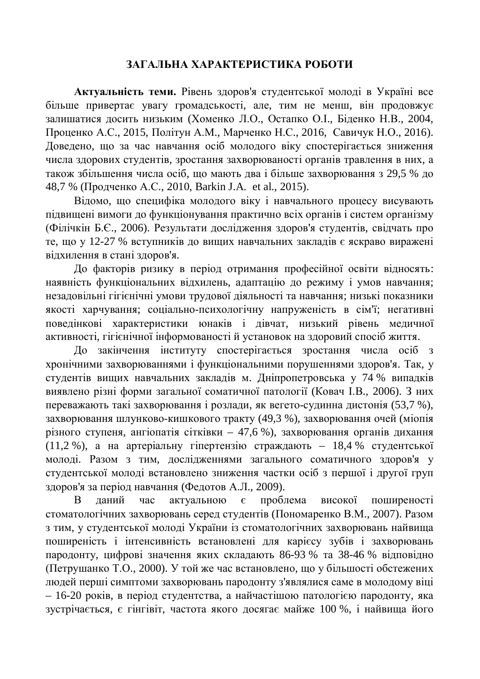#### ЗАГАЛЬНА ХАРАКТЕРИСТИКА РОБОТИ

Актуальність теми. Рівень здоров'я студентської молоді в Україні все більше привертає увагу громадськості, але, тим не менш, він продовжує залишатися досить низьким (Хоменко Л.О., Остапко О.І., Біденко Н.В., 2004, Проценко А.С., 2015, Політун А.М., Марченко Н.С., 2016, Савичук Н.О., 2016). Доведено, що за час навчання осіб молодого віку спостерігається зниження числа здорових студентів, зростання захворюваності органів травлення в них, а також збільшення числа осіб, що мають два і більше захворювання з 29,5 % до 48,7 % (Продченко А.С., 2010, Barkin J.A. et al., 2015).

Відомо, що специфіка молодого віку і навчального процесу висувають підвищені вимоги до функціонування практично всіх органів і систем організму (Філічкін Б.Є., 2006). Результати дослідження здоров'я студентів, свідчать про те, що у 12-27 % вступників до вищих навчальних закладів є яскраво виражені відхилення в стані здоров'я.

До факторів ризику в період отримання професійної освіти відносять: наявність функціональних відхилень, адаптацію до режиму і умов навчання; незадовільні гігієнічні умови трудової діяльності та навчання; низькі показники якості харчування; соціально-психологічну напруженість в сім'ї; негативні поведінкові характеристики юнаків і дівчат, низький рівень медичної активності, гігієнічної інформованості й установок на здоровий спосіб життя.

До закінчення інституту спостерігається зростання числа осіб з хронічними захворюваннями і функціональними порушеннями здоров'я. Так, у студентів вищих навчальних закладів м. Дніпропетровська у 74 % випадків виявлено різні форми загальної соматичної патології (Ковач І.В., 2006). З них переважають такі захворювання і розлади, як вегето-судинна дистонія (53,7 %), захворювання шлунково-кишкового тракту (49,3 %), захворювання очей (міопія різного ступеня, ангіопатія сітківки – 47,6 %), захворювання органів дихання (11,2 %), а на артеріальну гіпертензію страждають - 18,4 % студентської молоді. Разом з тим, дослідженнями загального соматичного здоров'я у студентської молоді встановлено зниження частки осіб з першої і другої груп здоров'я за період навчання (Федотов А.Л., 2009).

В даний час актуальною є проблема високої поширеності стоматологічних захворювань серед студентів (Пономаренко В.М., 2007). Разом з тим, у студентської молоді України із стоматологічних захворювань найвища поширеність і інтенсивність встановлені для карієсу зубів і захворювань пародонту, цифрові значення яких складають 86-93 % та 38-46 % відповідно (Петрушанко Т.О., 2000). У той же час встановлено, що у більшості обстежених людей перші симптоми захворювань пародонту з'являлися саме в молодому віці – 16-20 років, в період студентства, а найчастішою патологією пародонту, яка зустрічається, є гінгівіт, частота якого досягає майже 100 %, і найвища його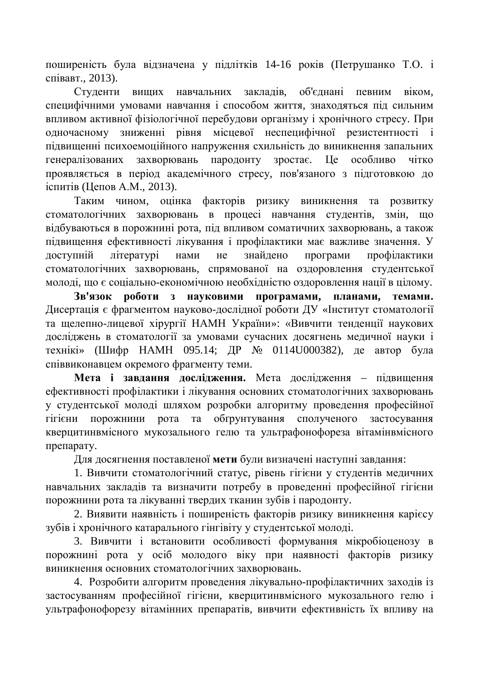поширеність була відзначена у підлітків 14-16 років (Петрушанко Т.О. і співавт., 2013).

Студенти вищих навчальних закладів, об'єднані певним віком, специфічними умовами навчання і способом життя, знаходяться під сильним впливом активної фізіологічної перебудови організму і хронічного стресу. При одночасному зниженні рівня місцевої неспецифічної резистентності і підвищенні психоемоційного напруження схильність до виникнення запальних генералізованих захворювань пародонту зростає. Це особливо чітко проявляється в період академічного стресу, пов'язаного з підготовкою до іспитів (Цепов А.М., 2013).

Таким чином, оцінка факторів ризику виникнення та розвитку стоматологічних захворювань в процесі навчання студентів, змін, що відбуваються в порожнині рота, під впливом соматичних захворювань, а також підвищення ефективності лікування і профілактики має важливе значення. У доступній літературі нами не знайдено програми профілактики стоматологічних захворювань, спрямованої на оздоровлення студентської молоді, що є соціально-економічною необхідністю оздоровлення нації в цілому.

Зв'язок роботи з науковими програмами, планами, темами. Дисертація є фрагментом науково-дослідної роботи ДУ «Інститут стоматології та щелепно-лицевої хірургії НАМН України»: «Вивчити тенденції наукових досліджень в стоматології за умовами сучасних досягнень медичної науки і технікі» (Шифр НАМН 095.14; ДР № 0114U000382), де автор була співвиконавцем окремого фрагменту теми.

**Мета і завлання лослілження.** Мета лослілження – пілвишення ефективності профілактики і лікування основних стоматологічних захворювань у студентської молоді шляхом розробки алгоритму проведення професійної гігієни порожнини рота та обґрунтування сполученого застосування кверцитинвмісного мукозального гелю та ультрафонофореза вітамінвмісного препарату.

Для досягнення поставленої мети були визначені наступні завдання:

1. Вивчити стоматологічний статус, рівень гігієни у студентів медичних навчальних закладів та визначити потребу в проведенні професійної гігієни порожнини рота та лікуванні твердих тканин зубів і пародонту.

2. Виявити наявність і поширеність факторів ризику виникнення карієсу зубів і хронічного катарального гінгівіту у студентської молоді.

3. Вивчити і встановити особливості формування мікробіоценозу в порожнині рота у осіб молодого віку при наявності факторів ризику виникнення основних стоматологічних захворювань.

4. Розробити алгоритм проведення лікувально-профілактичних заходів із застосуванням професійної гігієни, кверцитинвмісного мукозального гелю і ультрафонофорезу вітамінних препаратів, вивчити ефективність їх впливу на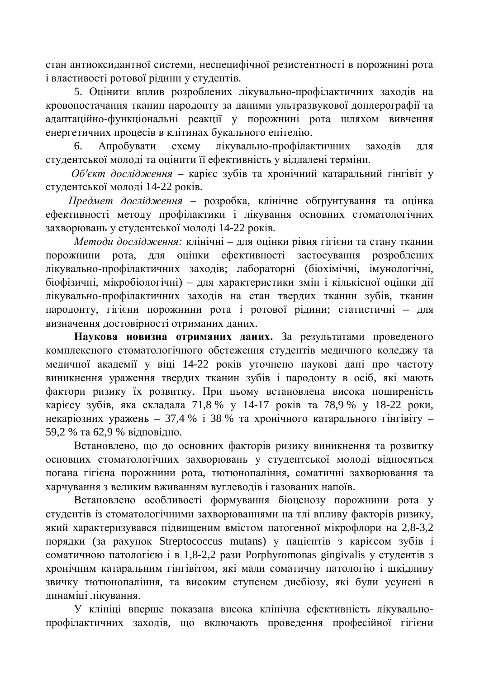стан антиоксидантної системи, неспецифічної резистентності в порожнині рота i властивості ротової рідини у студентів.

5. Оцінити вплив розроблених лікувально-профілактичних заходів на кровопостачання тканин пародонту за даними ультразвукової доплерографії та адаптаційно-функціональні реакції у порожнині рота шляхом вивчення енергетичних процесів в клітинах букального епітелію.

6. Апробувати схему лікувально-профілактичних заходів для студентської молоді та оцінити її ефективність у віддалені терміни.

Об'єкт дослідження - карієс зубів та хронічний катаральний гінгівіт у студентської молоді 14-22 років.

 $\Pi$ редмет дослідження – розробка, клінічне обґрунтування та оцінка ефективності методу профілактики і лікування основних стоматологічних захворювань у студентської молоді 14-22 років.

*Методи дослідження:* клінічні – для оцінки рівня гігієни та стану тканин порожнини рота, для оцінки ефективності застосування розроблених лікувально-профілактичних заходів; лабораторні (біохімічні, імунологічні, біофізичні, мікробіологічні) – для характеристики змін і кількісної оцінки дії лікувально-профілактичних заходів на стан твердих тканин зубів, тканин пародонту, гігієни порожнини рота і ротової рідини; статистичні – для визначення достовірності отриманих даних.

Наукова новизна отриманих даних. За результатами проведеного комплексного стоматологічного обстеження студентів медичного коледжу та медичної академії у віці 14-22 років уточнено наукові дані про частоту виникнення ураження твердих тканин зубів і пародонту в осіб, які мають фактори ризику їх розвитку. При цьому встановлена висока поширеність карієсу зубів, яка складала 71,8 % у 14-17 років та 78,9 % у 18-22 роки, некаріозних уражень – 37,4 % і 38 % та хронічного катарального гінгівіту – 59,2 % та 62,9 % відповідно.

Встановлено, що до основних факторів ризику виникнення та розвитку основних стоматологічних захворювань у студентської молоді відносяться погана гігієна порожнини рота, тютюнопаління, соматичні захворювання та харчування з великим вживанням вуглеводів і газованих напоїв.

Встановлено особливості формування біоценозу порожнини рота у студентів із стоматологічними захворюваннями на тлі впливу факторів ризику, який характеризувався підвищеним вмістом патогенної мікрофлори на 2,8-3,2 порядки (за рахунок Streptococcus mutans) у пацієнтів з карієсом зубів і coматичною патологією і в 1,8-2,2 рази Porphyromonas gingivalis у студентів з хронічним катаральним гінгівітом, які мали соматичну патологію і шкідливу звичку тютюнопаління, та високим ступенем дисбіозу, які були усунені в динаміці лікування.

У клініці вперше показана висока клінічна ефективність лікувальнопрофілактичних заходів, що включають проведення професійної гігієни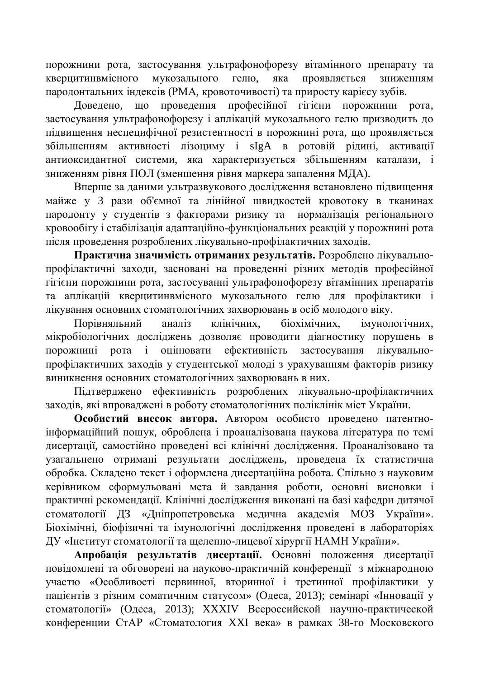порожнини рота, застосування ультрафонофорезу вітамінного препарату та кверцитинвмісного мукозального гелю, яка проявляється зниженням пародонтальних індексів (РМА, кровоточивості) та приросту карієсу зубів.

Доведено, що проведення професійної гігієни порожнини рота, застосування ультрафонофорезу і аплікацій мукозального гелю призводить до підвищення неспецифічної резистентності в порожнині рота, що проявляється збільшенням активності лізоциму і sIgA в ротовій рідині, активації антиоксидантної системи, яка характеризується збільшенням каталази, і зниженням рівня ПОЛ (зменшення рівня маркера запалення МДА).

Вперше за даними ультразвукового дослідження встановлено підвищення майже у 3 рази об'ємної та лінійної швидкостей кровотоку в тканинах пародонту у студентів з факторами ризику та нормалізація регіонального кровообігу і стабілізація адаптаційно-функціональних реакцій у порожнині рота після проведення розроблених лікувально-профілактичних заходів.

Практична значимість отриманих результатів. Розроблено лікувальнопрофілактичні заходи, засновані на проведенні різних методів професійної гігієни порожнини рота, застосуванні ультрафонофорезу вітамінних препаратів та аплікацій кверцитинвмісного мукозального гелю для профілактики і лікування основних стоматологічних захворювань в осіб молодого віку.

Порівняльний аналіз клінічних, біохімічних, імунологічних, мікробіологічних досліджень дозволяє проводити діагностику порушень в порожнині рота і оцінювати ефективність застосування лікувальнопрофілактичних заходів у студентської молоді з урахуванням факторів ризику виникнення основних стоматологічних захворювань в них.

Підтверджено ефективність розроблених лікувально-профілактичних заходів, які впроваджені в роботу стоматологічних поліклінік міст України.

Особистий внесок автора. Автором особисто проведено патентноінформаційний пошук, оброблена і проаналізована наукова література по темі дисертації, самостійно проведені всі клінічні дослідження. Проаналізовано та узагальнено отримані результати досліджень, проведена їх статистична обробка. Складено текст і оформлена дисертаційна робота. Спільно з науковим керівником сформульовані мета й завдання роботи, основні висновки і практичні рекомендації. Клінічні дослідження виконані на базі кафедри дитячої стоматології ДЗ «Дніпропетровська медична академія МОЗ України». Біохімічні, біофізичні та імунологічні дослідження проведені в лабораторіях ДУ «Інститут стоматології та щелепно-лицевої хірургії НАМН України».

Апробація результатів дисертації. Основні положення дисертації повідомлені та обговорені на науково-практичній конференції з міжнародною участю «Особливості первинної, вторинної і третинної профілактики у пацієнтів з різним соматичним статусом» (Одеса, 2013); семінарі «Інновації у стоматології» (Одеса, 2013); XXXIV Всероссийской научно-практической конференции СтАР «Стоматология XXI века» в рамках 38-го Московского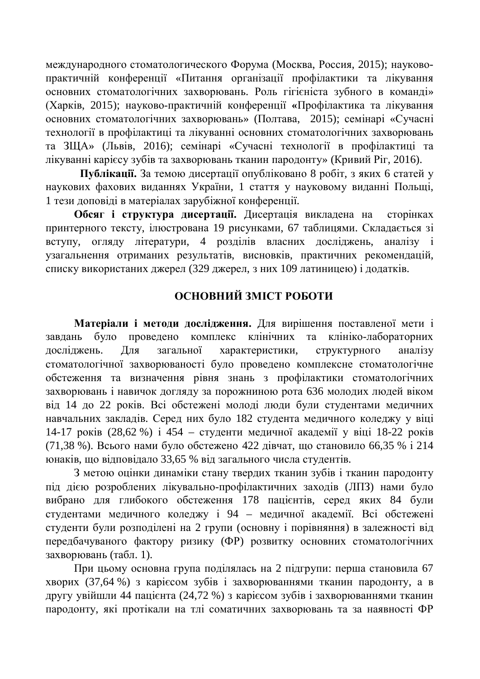международного стоматологического Форума (Москва, Россия, 2015); науковопрактичній конференції «Питання організації профілактики та лікування основних стоматологічних захворювань. Роль гігієніста зубного в команді» (Харків, 2015); науково-практичній конференції «Профілактика та лікування основних стоматологічних захворювань» (Полтава, 2015); семінарі «Сучасні технології в профілактиці та лікуванні основних стоматологічних захворювань та ЗЩА» (Львів, 2016); семінарі «Сучасні технології в профілактиці та лікуванні карієсу зубів та захворювань тканин пародонту» (Кривий Ріг, 2016).

Публікації. За темою дисертації опубліковано 8 робіт, з яких 6 статей у наукових фахових виданнях України, 1 стаття у науковому виданні Польщі, 1 тези доповіді в матеріалах зарубіжної конференції.

Обсяг і структура дисертації. Дисертація викладена на сторінках принтерного тексту, ілюстрована 19 рисунками, 67 таблицями. Складається зі вступу, огляду літератури, 4 розділів власних досліджень, аналізу і узагальнення отриманих результатів, висновків, практичних рекомендацій, списку використаних джерел (329 джерел, з них 109 латиницею) і додатків.

## **ОСНОВНИЙ ЗМІСТ РОБОТИ**

Матеріали і методи дослідження. Для вирішення поставленої мети і завдань було проведено комплекс клінічних та клініко-лабораторних досліджень. Для загальної характеристики, структурного аналізу стоматологічної захворюваності було проведено комплексне стоматологічне обстеження та визначення рівня знань з профілактики стоматологічних захворювань і навичок догляду за порожниною рота 636 молодих людей віком від 14 до 22 років. Всі обстежені молоді люди були студентами медичних навчальних закладів. Серед них було 182 студента медичного коледжу у віці 14-17 років (28,62 %) і 454 – студенти медичної академії у віці 18-22 років (71,38 %). Всього нами було обстежено 422 дівчат, що становило 66,35 % і 214 юнаків, що відповідало 33,65 % від загального числа студентів.

З метою оцінки динаміки стану твердих тканин зубів і тканин пародонту під дією розроблених лікувально-профілактичних заходів (ЛПЗ) нами було вибрано для глибокого обстеження 178 пацієнтів, серед яких 84 були студентами медичного коледжу і 94 – медичної академії. Всі обстежені студенти були розподілені на 2 групи (основну і порівняння) в залежності від передбачуваного фактору ризику (ФР) розвитку основних стоматологічних захворювань (табл. 1).

При цьому основна група поділялась на 2 підгрупи: перша становила 67 хворих (37,64 %) з карієсом зубів і захворюваннями тканин пародонту, а в другу увійшли 44 пацієнта (24,72 %) з каріє сом зубів і захворюваннями тканин пародонту, які протікали на тлі соматичних захворювань та за наявності ФР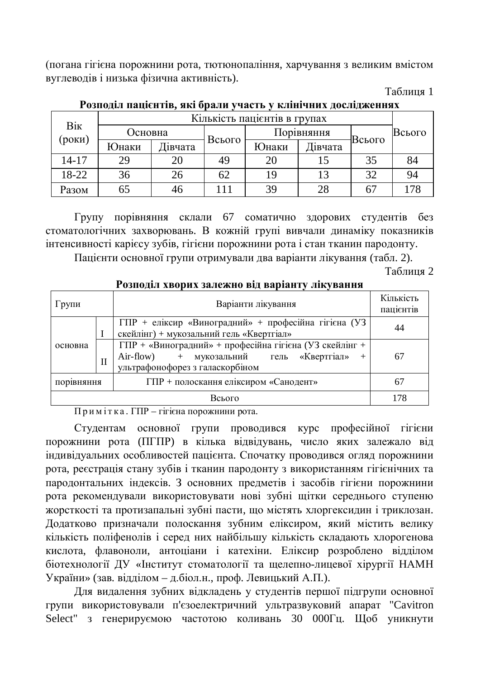(погана гігієна порожнини рота, тютюнопаління, харчування з великим вмістом вуглеводів і низька фізична активність).

Таблиня 1

| Bik<br>(роки) | Кількість пацієнтів в групах |         |                 |            |         |                |        |
|---------------|------------------------------|---------|-----------------|------------|---------|----------------|--------|
|               | Основна                      |         |                 | Порівняння |         |                | Всього |
|               | Юнаки                        | Дівчата | Всього          | Юнаки      | Дівчата | Всього         |        |
| $14 - 17$     | 29                           | 20      | 49              | 20         |         | 35             | 84     |
| 18-22         | 36                           | 26      | 62              | 19         | 13      | 32             | 94     |
| Разом         | 65                           | 46      | $\overline{11}$ | 39         | 28      | 6 <sup>7</sup> | 178    |

Розподіл пацієнтів, які брали участь у клінічних дослідженнях

Групу порівняння склали 67 соматично здорових студентів без стоматологічних захворювань. В кожній групі вивчали динаміку показників інтенсивності карієсу зубів, гігієни порожнини рота і стан тканин пародонту.

Пацієнти основної групи отримували два варіанти лікування (табл. 2).

Таблиня 2

| і ознодыі аворна залежно від варіані у лікування |              |                                                                                                                                               |                        |  |  |  |  |
|--------------------------------------------------|--------------|-----------------------------------------------------------------------------------------------------------------------------------------------|------------------------|--|--|--|--|
| Групи                                            |              | Варіанти лікування                                                                                                                            | Кількість<br>пацієнтів |  |  |  |  |
|                                                  |              | ГПР + еліксир «Виноградний» + професійна гігієна (УЗ<br>скейлінг) + мукозальний гель «Квертгіал»                                              | 44                     |  |  |  |  |
| основна                                          | $\mathbf{I}$ | ГПР + «Виноградний» + професійна гігієна (УЗ скейлінг +<br>Air-flow) + мукозальний гель «Квертгіал»<br>$+$<br>ультрафонофорез з галаскорбіном | 67                     |  |  |  |  |
| порівняння                                       |              | ГПР + полоскання еліксиром «Санодент»                                                                                                         | 67                     |  |  |  |  |
| Всього                                           |              |                                                                                                                                               |                        |  |  |  |  |

**Ρ**<sup>2</sup> **Σ** *<u>λουποπίπ γρουμγραμμα</u>* 

Примітка. ГПР – гігієна порожнини рота.

Студентам основної групи проводився курс професійної гігієни порожнини рота (ПГПР) в кілька відвідувань, число яких залежало від індивідуальних особливостей пацієнта. Спочатку проводився огляд порожнини рота, реєстрація стану зубів і тканин пародонту з використанням гігієнічних та пародонтальних індексів. З основних предметів і засобів гігієни порожнини рота рекомендували використовувати нові зубні щітки середнього ступеню жорсткості та протизапальні зубні пасти, що містять хлоргексидин і триклозан. Додатково призначали полоскання зубним еліксиром, який містить велику кількість поліфенолів і серед них найбільшу кількість складають хлорогенова кислота, флавоноли, антоціани і катехіни. Еліксир розроблено відділом біотехнології ДУ «Інститут стоматології та щелепно-лицевої хірургії НАМН України» (зав. відділом – д.біол.н., проф. Левицький А.П.).

Для видалення зубних відкладень у студентів першої підгрупи основної групи використовували п'єзоелектричний ультразвуковий апарат "Cavitron Select" з генерируємою частотою коливань 30 000Гц. Щоб уникнути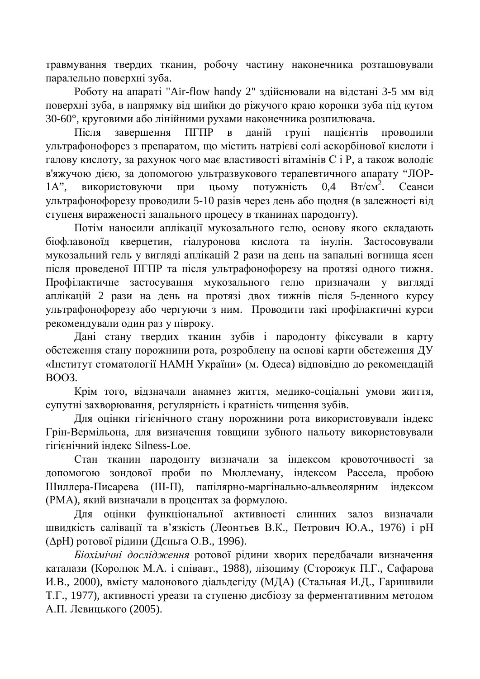травмування твердих тканин, робочу частину наконечника розташовували паралельно поверхні зуба.

Роботу на апараті "Air-flow handy 2" здійснювали на відстані 3-5 мм від поверхні зуба, в напрямку від шийки до ріжучого краю коронки зуба під кутом 30-60°, круговими або лінійними рухами наконечника розпилювача.

Після завершення ПГПР в даній групі пацієнтів проводили ультрафонофорез з препаратом, що містить натрієві солі аскорбінової кислоти і галову кислоту, за рахунок чого має властивості вітамінів С і Р, а також володіє в'яжучою дією, за допомогою ультразвукового терапевтичного апарату "ЛОР- $1A$ ", використовуючи при цьому потужність 0,4  $Br/cm<sup>2</sup>$ . Сеанси ультрафонофорезу проводили 5-10 разів через день або щодня (в залежності від ступеня вираженості запального процесу в тканинах пародонту).

Потім наносили аплікації мукозального гелю, основу якого складають біофлавоноїд кверцетин, гіалуронова кислота та інулін. Застосовували мукозальний гель у вигляді аплікацій 2 рази на день на запальні вогнища ясен після проведеної ПГПР та після ультрафонофорезу на протязі одного тижня. Профілактичне застосування мукозального гелю призначали у вигляді аплікацій 2 рази на день на протязі двох тижнів після 5-денного курсу ультрафонофорезу або чергуючи з ним. Проводити такі профілактичні курси рекомендували один раз у півроку.

Дані стану твердих тканин зубів і пародонту фіксували в карту обстеження стану порожнини рота, розроблену на основі карти обстеження ДУ «Інститут стоматології НАМН України» (м. Одеса) відповідно до рекомендацій BOO<sub>3</sub>

Крім того, відзначали анамнез життя, медико-соціальні умови життя, супутні захворювання, регулярність і кратність чищення зубів.

Для оцінки гігієнічного стану порожнини рота використовували індекс Грін-Вермільона, для визначення товщини зубного нальоту використовували гігієнічний індекс Silness-Loe.

Стан тканин пародонту визначали за індексом кровоточивості за допомогою зондової проби по Мюллеману, індексом Рассела, пробою Шиллера-Писарева (Ш-П), папілярно-маргінально-альвеолярним індексом (РМА), який визначали в процентах за формулою.

Для оцінки функціональної активності слинних залоз визначали швидкість салівації та в'язкість (Леонтьев В.К., Петрович Ю.А., 1976) і рН (ДрН) ротової рідини (Дєньга О.В., 1996).

*Біохімічні дослідження* ротової рідини хворих передбачали визначення каталази (Королюк М.А. і співавт., 1988), лізоциму (Сторожук П.Г., Сафарова И.В., 2000), вмісту малонового діальдегіду (МДА) (Стальная И.Д., Гаришвили Т.Г., 1977), активності уреази та ступеню дисбіозу за ферментативним методом А.П. Левицького (2005).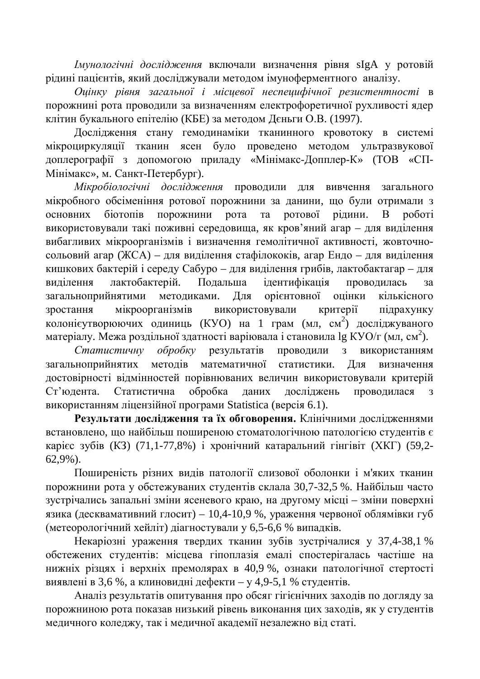*<u> Імунологічні дослідження включали визначення рівня sIgA у ротовій*</u> рідині пацієнтів, який досліджували методом імуноферментного аналізу.

Оцінку рівня загальної *і місцевої неспецифічної резистентності* в порожнині рота проводили за визначенням електрофоретичної рухливості ядер клітин букального епітелію (КБЕ) за методом Дєньги О.В. (1997).

Дослідження стану гемодинаміки тканинного кровотоку в системі мікроциркуляції тканин ясен було проведено методом ультразвукової доплерографії з допомогою приладу «Мінімакс-Допплер-К» (ТОВ «СП-Мінімакс», м. Санкт-Петербург).

Мікробіологічні дослідження проводили для вивчення загального мікробного обсіменіння ротової порожнини за данини, що були отримали з основних біотопів порожнини рота та ротової рідини. В роботі використовували такі поживні середовища, як кров'яний агар – для виділення вибагливих мікроорганізмів і визначення гемолітичної активності, жовточносольовий агар (ЖСА) – для виділення стафілококів, агар Ендо – для виділення кишкових бактерій і середу Сабуро – для виділення грибів, лактобактагар – для виділення лактобактерій. Подальша ідентифікація проводилась за загальноприйнятими метоликами. Лля орієнтовної ошінки кількісного зростання мікроорганізмів використовували критерії підрахунку колоніє утворюючих одиниць (КУО) на 1 грам (мл, см<sup>2</sup>) досліджуваного матеріалу. Межа роздільної здатності варіювала і становила lg КУО/г (мл, см<sup>2</sup>).

Статистичну обробку результатів проводили з використанням загальноприйнятих методів математичної статистики. Для визначення достовірності відмінностей порівнюваних величин використовували критерій Ст'юдента. Статистична обробка даних досліджень проводилася з використанням ліцензійної програми Statistica (версія 6.1).

Результати дослідження та їх обговорення. Клінічними дослідженнями встановлено, що найбільш поширеною стоматологічною патологією студентів є карієс зубів (КЗ) (71,1-77,8%) і хронічний катаральний гінгівіт (ХКГ) (59,2-62,9%).

Поширеність різних видів патології слизової оболонки і м'яких тканин порожнини рота у обстежуваних студентів склала 30,7-32,5 %. Найбільш часто зустрічались запальні зміни ясеневого краю, на другому місці – зміни поверхні язика (десквамативний глосит) – 10,4-10,9 %, ураження червоної облямівки губ (метеорологічний хейліт) діагностували у 6,5-6,6 % випадків.

Некаріозні ураження твердих тканин зубів зустрічалися у 37,4-38,1 % обстежених студентів: місцева гіпоплазія емалі спостерігалась частіше на нижніх різцях і верхніх премолярах в 40,9 %, ознаки патологічної стертості виявлені в 3,6 %, а клиновидні дефекти – у 4,9-5,1 % студентів.

Аналіз результатів опитування про обсяг гігієнічних заходів по догляду за порожниною рота показав низький рівень виконання цих заходів, як у студентів медичного коледжу, так і медичної академії незалежно від статі.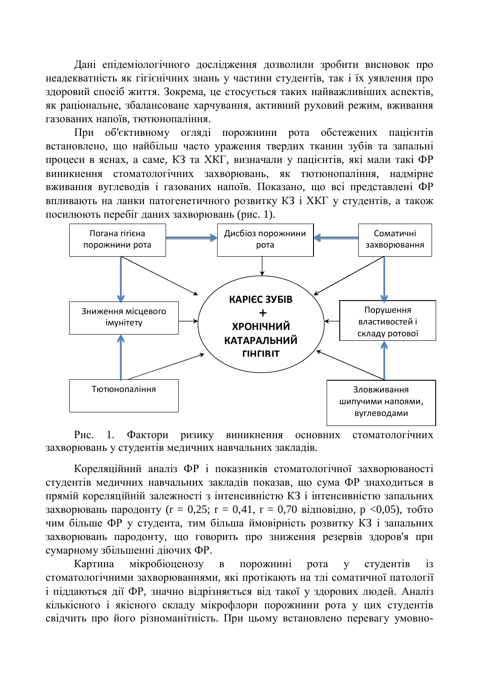Дані епідеміологічного дослідження дозволили зробити висновок про неадекватність як гігієнічних знань у частини студентів, так і їх уявлення про здоровий спосіб життя. Зокрема, це стосується таких найважливіших аспектів, як раціональне, збалансоване харчування, активний руховий режим, вживання газованих напоїв, тютюнопаління.

При об'єктивному огляді порожнини рота обстежених пацієнтів встановлено, що найбільш часто ураження твердих тканин зубів та запальні процеси в яснах, а саме, КЗ та ХКГ, визначали у пацієнтів, які мали такі ФР виникнення стоматологічних захворювань, як тютюнопаління, надмірне вживання вуглеводів і газованих напоїв. Показано, що всі представлені ФР впливають на ланки патогенетичного розвитку КЗ і ХКГ у студентів, а також посилюють перебіг даних захворювань (рис. 1).



Рис. 1. Фактори ризику виникнення основних стоматологічних захворювань у студентів медичних навчальних закладів.

Кореляційний аналіз ФР і показників стоматологічної захворюваності студентів медичних навчальних закладів показав, що сума ФР знаходиться в прямій кореляційній залежності з інтенсивністю КЗ і інтенсивністю запальних захворювань пародонту (r = 0,25; r = 0,41, r = 0,70 відповідно, р <0,05), тобто чим більше ФР у студента, тим більша ймовірність розвитку КЗ і запальних захворювань пародонту, що говорить про зниження резервів здоров'я при сумарному збільшенні діючих ФР.

Картина мікробіоценозу в порожнині рота у студентів із стоматологічними захворюваннями, які протікають на тлі соматичної патології і піддаються дії ФР, значно відрізняється від такої у здорових людей. Аналіз кількісного і якісного складу мікрофлори порожнини рота у цих студентів свідчить про його різноманітність. При цьому встановлено перевагу умовно-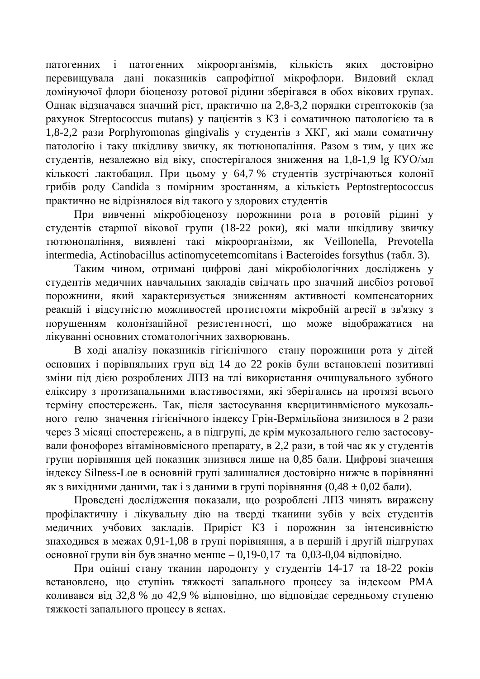патогенних і патогенних мікроорганізмів, кількість яких достовірно перевищувала дані показників сапрофітної мікрофлори. Видовий склад домінуючої флори біоценозу ротової рідини зберігався в обох вікових групах. Однак відзначався значний ріст, практично на 2,8-3,2 порядки стрептококів (за рахунок Streptococcus mutans) у пацієнтів з КЗ і соматичною патологією та в 1,8-2,2 рази Porphyromonas gingivalis у студентів з ХКГ, які мали соматичну патологію і таку шкідливу звичку, як тютюнопаління. Разом з тим, у цих же студентів, незалежно від віку, спостерігалося зниження на 1,8-1,9 lg КУО/мл кількості лактобацил. При цьому у 64,7 % студентів зустрічаються колонії грибів роду Candida з помірним зростанням, а кількість Peptostreptococcus практично не відрізнялося від такого у здорових студентів

При вивченні мікробіоценозу порожнини рота в ротовій рідині у студентів старшої вікової групи (18-22 роки), які мали шкідливу звичку тютюнопаління, виявлені такі мікроорганізми, як Veillonella, Prevotella intermedia, Actinobacillus actinomycetemcomitans i Bacteroides forsythus (табл. 3).

Таким чином, отримані цифрові дані мікробіологічних досліджень у студентів медичних навчальних закладів свідчать про значний дисбіоз ротової порожнини, який характеризується зниженням активності компенсаторних реакцій і відсутністю можливостей протистояти мікробній агресії в зв'язку з порушенням колонізаційної резистентності, що може відображатися на лікуванні основних стоматологічних захворювань.

В холі аналізу показників гігієнічного стану порожнини рота у літей основних і порівняльних груп від 14 до 22 років були встановлені позитивні зміни під дією розроблених ЛПЗ на тлі використання очищувального зубного еліксиру з протизапальними властивостями, які зберігались на протязі всього терміну спостережень. Так, після застосування кверцитинвмісного мукозального гелю значення гігієнічного індексу Грін-Вермільйона знизилося в 2 рази через 3 місяці спостережень, а в підгрупі, де крім мукозального гелю застосовували фонофорез вітаміновмісного препарату, в 2,2 рази, в той час як у студентів групи порівняння цей показник знизився лише на 0,85 бали. Цифрові значення iндексу Silness-Loe в основній групі залишалися достовірно нижче в порівнянні як з вихідними даними, так і з даними в групі порівняння (0,48 ± 0,02 бали).

Проведені дослідження показали, що розроблені ЛПЗ чинять виражену профілактичну і лікувальну дію на тверді тканини зубів у всіх студентів медичних учбових закладів. Приріст КЗ і порожнин за інтенсивністю знаходився в межах 0,91-1,08 в групі порівняння, а в першій і другій підгрупах основної групи він був значно менше – 0,19-0,17 та 0,03-0,04 відповідно.

При оцінці стану тканин пародонту у студентів 14-17 та 18-22 років встановлено, що ступінь тяжкості запального процесу за індексом РМА коливався від 32,8 % до 42,9 % відповідно, що відповідає середньому ступеню тяжкості запального процесу в яснах.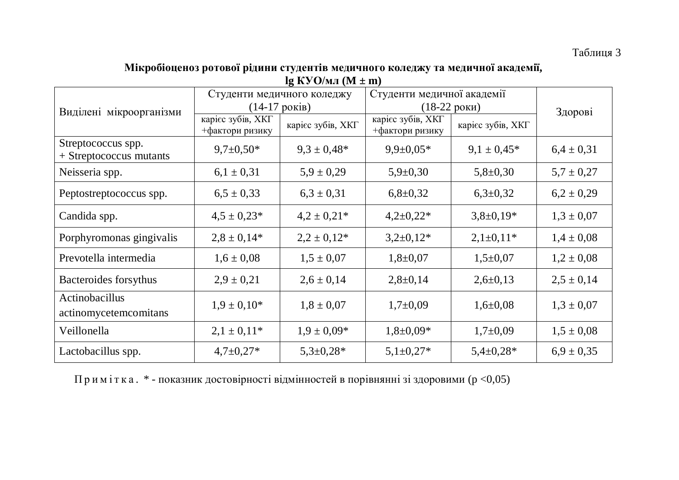### Таблиця 3

#### Мікробіоценоз ротової рідини студентів медичного коледжу та медичної академії,  $\lg$  **KYO**/ $\text{MI}$  (**M**  $\pm$  **m**)

|                                               | Студенти медичного коледжу           |                   | Студенти медичної академії           | Здорові           |                |
|-----------------------------------------------|--------------------------------------|-------------------|--------------------------------------|-------------------|----------------|
| Виділені мікроорганізми                       | $(14-17)$ pokib)                     |                   | $(18-22)$ роки)                      |                   |                |
|                                               | карієс зубів, ХКГ<br>+фактори ризику | карієс зубів, ХКГ | карієс зубів, ХКГ<br>+фактори ризику | карієс зубів, ХКГ |                |
| Streptococcus spp.<br>+ Streptococcus mutants | $9,7\pm0,50*$                        | $9.3 \pm 0.48*$   | $9,9 \pm 0,05*$                      | $9.1 \pm 0.45*$   | $6.4 \pm 0.31$ |
| Neisseria spp.                                | $6,1 \pm 0,31$                       | $5.9 \pm 0.29$    | $5,9\pm0,30$                         | $5,8 \pm 0,30$    | $5.7 \pm 0.27$ |
| Peptostreptococcus spp.                       | $6,5 \pm 0,33$                       | $6,3 \pm 0,31$    | $6,8 \pm 0,32$                       | $6,3\pm0,32$      | $6,2 \pm 0,29$ |
| Candida spp.                                  | $4.5 \pm 0.23*$                      | $4.2 \pm 0.21*$   | $4,2\pm0,22*$                        | $3,8\pm0,19*$     | $1,3 \pm 0,07$ |
| Porphyromonas gingivalis                      | $2,8 \pm 0,14*$                      | $2,2 \pm 0,12^*$  | $3,2\pm0,12*$                        | $2,1\pm0,11*$     | $1,4 \pm 0,08$ |
| Prevotella intermedia                         | $1,6 \pm 0,08$                       | $1,5 \pm 0,07$    | $1,8+0,07$                           | $1,5+0,07$        | $1,2 \pm 0,08$ |
| Bacteroides forsythus                         | $2,9 \pm 0,21$                       | $2,6 \pm 0,14$    | $2,8+0,14$                           | $2,6 \pm 0,13$    | $2,5 \pm 0,14$ |
| Actinobacillus<br>actinomycetemcomitans       | $1.9 \pm 0.10*$                      | $1,8 \pm 0,07$    | $1,7+0,09$                           | $1,6 \pm 0.08$    | $1,3 \pm 0,07$ |
| Veillonella                                   | $2,1 \pm 0,11*$                      | $1.9 \pm 0.09*$   | $1,8 \pm 0,09*$                      | $1,7+0,09$        | $1,5 \pm 0,08$ |
| Lactobacillus spp.                            | $4,7\pm0,27*$                        | $5,3\pm0,28*$     | $5,1\pm0,27*$                        | $5,4\pm0,28*$     | $6.9 \pm 0.35$ |

Примітка. \* - показник достовірності відмінностей в порівнянні зі здоровими (р <0,05)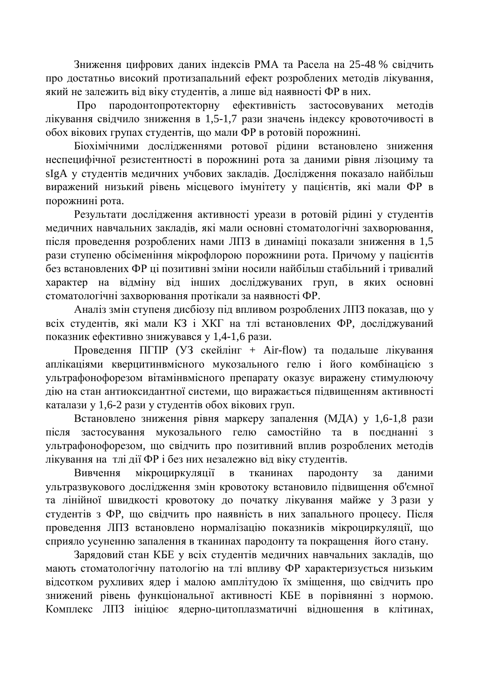Зниження цифрових даних індексів РМА та Расела на 25-48 % свідчить про достатньо високий протизапальний ефект розроблених методів лікування, який не залежить від віку студентів, а лише від наявності ФР в них.

Про пародонтопротекторну ефективність застосовуваних методів лікування свідчило зниження в 1,5-1,7 рази значень індексу кровоточивості в обох вікових групах студентів, що мали ФР в ротовій порожнині.

Біохімічними дослідженнями ротової рідини встановлено зниження неспецифічної резистентності в порожнині рота за даними рівня лізоциму та sIgA у студентів медичних учбових закладів. Дослідження показало найбільш виражений низький рівень місцевого імунітету у пацієнтів, які мали ФР в порожнині рота.

Результати дослідження активності уреази в ротовій рідині у студентів медичних навчальних закладів, які мали основні стоматологічні захворювання, після проведення розроблених нами ЛПЗ в динаміці показали зниження в 1,5 рази ступеню обсіменіння мікрофлорою порожнини рота. Причому у пацієнтів без встановлених ФР ці позитивні зміни носили найбільш стабільний і тривалий характер на відміну від інших досліджуваних груп, в яких основні стоматологічні захворювання протікали за наявності ФР.

Аналіз змін ступеня дисбіозу під впливом розроблених ЛПЗ показав, що у всіх студентів, які мали КЗ і ХКГ на тлі встановлених ФР, досліджуваний показник ефективно знижувався у 1,4-1,6 рази.

Проведення ПГПР (УЗ скейлінг + Air-flow) та подальше лікування аплікаціями кверцитинвмісного мукозального гелю і його комбінацією з ультрафонофорезом вітамінвмісного препарату оказує виражену стимулюючу дію на стан антиоксидантної системи, що виражається підвищенням активності каталази у 1,6-2 рази у студентів обох вікових груп.

Встановлено зниження рівня маркеру запалення (МДА) у 1,6-1,8 рази після застосування мукозального гелю самостійно та в поєднанні з ультрафонофорезом, що свідчить про позитивний вплив розроблених методів лікування на тлі дії ФР і без них незалежно від віку студентів.

Вивчення мікроциркуляції в тканинах пародонту за даними ультразвукового дослідження змін кровотоку встановило підвищення об'ємної та лінійної швидкості кровотоку до початку лікування майже у 3 рази у студентів з ФР, що свідчить про наявність в них запального процесу. Після проведення ЛПЗ встановлено нормалізацію показників мікроциркуляції, що сприяло усуненню запалення в тканинах пародонту та покращення його стану.

Зарядовий стан КБЕ у всіх студентів медичних навчальних закладів, що мають стоматологічну патологію на тлі впливу ФР характеризується низьким відсотком рухливих ядер і малою амплітудою їх зміщення, що свідчить про знижений рівень функціональної активності КБЕ в порівнянні з нормою. Комплекс ЛПЗ ініціює ядерно-цитоплазматичні відношення в клітинах,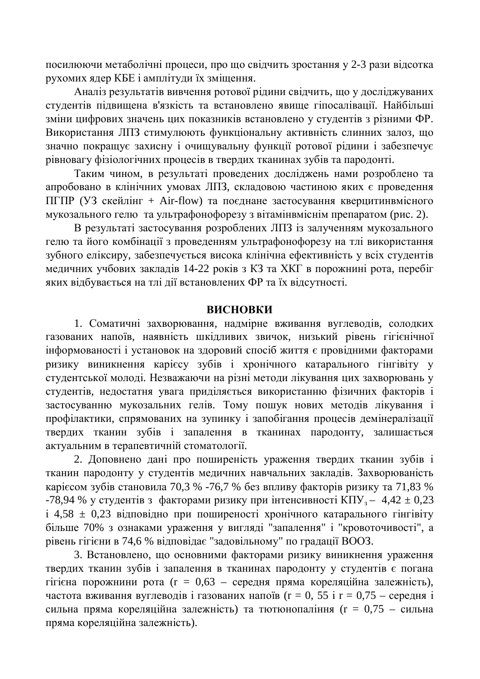посилюючи метаболічні процеси, про що свідчить зростання у 2-3 рази відсотка рухомих ядер КБЕ і амплітуди їх зміщення.

Аналіз результатів вивчення ротової рідини свідчить, що у досліджуваних студентів підвищена в'язкість та встановлено явище гіпосалівації. Найбільші зміни цифрових значень цих показників встановлено у студентів з різними ФР. Використання ЛПЗ стимулюють функціональну активність слинних залоз, що значно покращує захисну і очищувальну функції ротової рідини і забезпечує рівновагу фізіологічних процесів в твердих тканинах зубів та пародонті.

Таким чином, в результаті проведених досліджень нами розроблено та апробовано в клінічних умовах ЛПЗ, складовою частиною яких є проведення ПГПР (УЗ скейлінг + Air-flow) та поєднане застосування кверцитинвмісного мукозального гелю та ультрафонофорезу з вітамінвміснім препаратом (рис. 2).

В результаті застосування розроблених ЛПЗ із залученням мукозального гелю та його комбінації з проведенням ультрафонофорезу на тлі використання зубного еліксиру, забезпечується висока клінічна ефективність у всіх студентів медичних учбових закладів 14-22 років з КЗ та ХКГ в порожнині рота, перебіг яких відбувається на тлі дії встановлених ФР та їх відсутності.

#### **ВИСНОВКИ**

1. Соматичні захворювання, надмірне вживання вуглеводів, солодких газованих напоїв, наявність шкідливих звичок, низький рівень гігієнічної інформованості і установок на здоровий спосіб життя є провідними факторами ризику виникнення карієсу зубів і хронічного катарального гінгівіту у студентської молоді. Незважаючи на різні методи лікування цих захворювань у студентів, недостатня увага приділяється використанню фізичних факторів і застосуванню мукозальних гелів. Тому пошук нових методів лікування і профілактики, спрямованих на зупинку і запобігання процесів демінералізації твердих тканин зубів і запалення в тканинах пародонту, залишається актуальним в терапевтичній стоматології.

2. Доповнено дані про поширеність ураження твердих тканин зубів і тканин пародонту у студентів медичних навчальних закладів. Захворюваність каріє $\cos$ зубів становила 70,3 % -76,7 % без впливу факторів ризику та 71,83 % -78,94 % у студентів з факторами ризику при інтенсивності КПУ<sub>з</sub> $-4.42 \pm 0.23$  $\dot{a}$  4,58  $\pm$  0,23 відповідно при поширеності хронічного катарального гінгівіту більше 70% з ознаками ураження у вигляді "запалення" і "кровоточивості", а рівень гігієни в 74,6 % відповідає "задовільному" по градації ВООЗ.

3. Встановлено, що основними факторами ризику виникнення ураження твердих тканин зубів і запалення в тканинах пародонту у студентів є погана гігієна порожнини рота ( $r = 0.63$  – середня пряма кореляційна залежність), частота вживання вуглеводів і газованих напоїв ( $r = 0$ , 55 і  $r = 0.75$  – середня і сильна пряма кореляційна залежність) та тютюнопаління ( $r = 0.75$  – сильна пряма кореляційна залежність).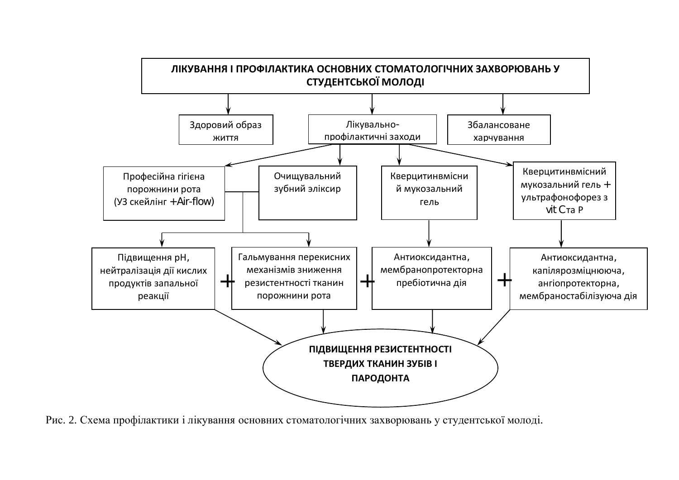

Рис. 2. Схема профілактики і лікування основних стоматологічних захворювань у студентської молоді.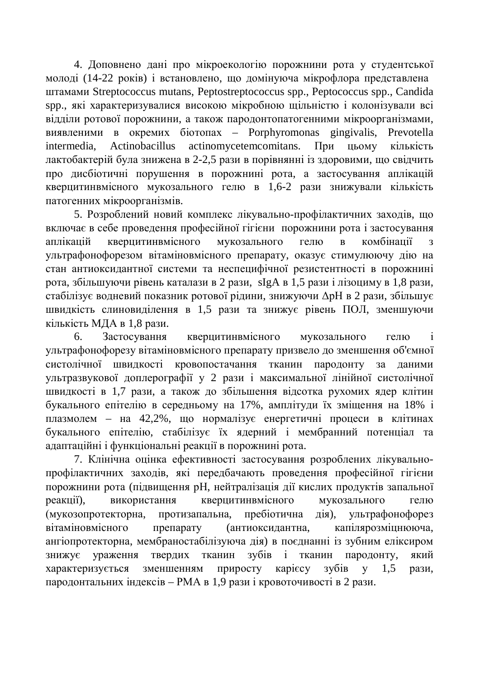4. Доповнено дані про мікроекологію порожнини рота у студентської молоді (14-22 років) і встановлено, що домінуюча мікрофлора представлена ɲɬɚɦɚɦɢ Streptococcus mutans, Peptostreptococcus spp., Peptococcus spp., Candida spp., які характеризувалися високою мікробною щільністю і колонізували всі відділи ротової порожнини, а також пародонтопатогенними мікроорганізмами, BИЯВЛЕНИМИ В ОКРЕМИХ біотопах – Porphyromonas gingivalis, Prevotella intermedia, Actinobacillus actinomycetemcomitans. При цьому кількість лактобактерій була знижена в 2-2,5 рази в порівнянні із здоровими, що свідчить про дисбіотичні порушення в порожнині рота, а застосування аплікацій кверцитинвмісного мукозального гелю в 1,6-2 рази знижували кількість патогенних мікроорганізмів.

5. Розроблений новий комплекс лікувально-профілактичних заходів, що включає в себе проведення професійної гігієни порожнини рота і застосування аплікацій кверцитинвмісного мукозального гелю в комбінації з ультрафонофорезом вітаміновмісного препарату, оказує стимулюючу дію на стан антиоксидантної системи та неспецифічної резистентності в порожнині рота, збільшуючи рівень каталази в 2 рази, sIgA в 1,5 рази і лізоциму в 1,8 рази, стабілізує водневий показник ротової рідини, знижуючи  $\Delta$ рН в 2 рази, збільшує швидкість слиновиділення в 1,5 рази та знижує рівень ПОЛ, зменшуючи кількість МДА в 1,8 рази.

6. Застосування кверцитинвмісного мукозального гелю і ультрафонофорезу вітаміновмісного препарату призвело до зменшення об'ємної систолічної швидкості кровопостачання тканин пародонту за даними ультразвукової доплерографії у 2 рази і максимальної лінійної систолічної швидкості в 1,7 рази, а також до збільшення відсотка рухомих ядер клітин букального епітелію в середньому на 17%, амплітуди їх зміщення на 18% і плазмолем – на 42,2%, що нормалізує енергетичні процеси в клітинах букального епітелію, стабілізує їх ядерний і мембранний потенціал та адаптаційні і функціональні реакції в порожнині рота.

7. Клінічна оцінка ефективності застосування розроблених лікувальнопрофілактичних заходів, які передбачають проведення професійної гігієни порожнини рота (підвищення рН, нейтралізація дії кислих продуктів запальної реакції), використання кверцитинвмісного мукозального гелю (мукозопротекторна, протизапальна, пребіотична дія), ультрафонофорез вітаміновмісного препарату (антиоксидантна, капілярозміцнююча, ангіопротекторна, мембраностабілізуюча дія) в поєднанні із зубним еліксиром знижує ураження твердих тканин зубів і тканин пародонту, який характеризується зменшенням приросту карієсу зубів у 1,5 рази, пародонтальних індексів – РМА в 1,9 рази і кровоточивості в 2 рази.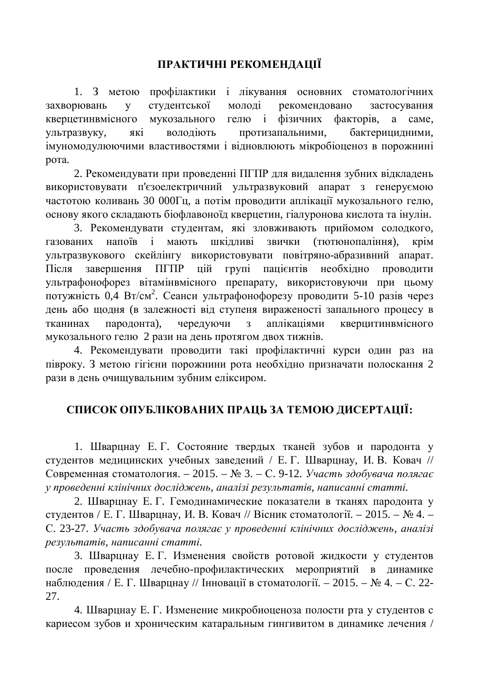### ПРАКТИЧНІ РЕКОМЕНДАЦІЇ

1. З метою профілактики і лікування основних стоматологічних захворювань у студентської молоді рекомендовано застосування кверцетинвмісного мукозального гелю і фізичних факторів, а саме, ультразвуку, які володіють протизапальними, бактерицидними, імуномодулюючими властивостями і відновлюють мікробіоценоз в порожнині рота.

2. Рекомендувати при проведенні ПГПР для видалення зубних відкладень використовувати п'єзоелектричний ультразвуковий апарат з генеруємою частотою коливань 30 000Гц, а потім проводити аплікації мукозального гелю, основу якого складають біофлавоноїд кверцетин, гіалуронова кислота та інулін.

3. Рекомендувати студентам, які зловживають прийомом солодкого, газованих напоїв і мають шкідливі звички (тютюнопаління), крім ультразвукового скейлінгу використовувати повітряно-абразивний апарат. Після завершення ПГПР цій групі пацієнтів необхідно проводити ультрафонофорез вітамінвмісного препарату, використовуючи при цьому потужність 0,4 Вт/см<sup>2</sup>. Сеанси ультрафонофорезу проводити 5-10 разів через день або щодня (в залежності від ступеня вираженості запального процесу в тканинах пародонта), чередуючи з аплікаціями кверцитинвмісного мукозального гелю 2 рази на день протягом двох тижнів.

4. Рекомендувати проводити такі профілактичні курси один раз на півроку. З метою гігієни порожнини рота необхідно призначати полоскання 2 рази в день очищувальним зубним еліксиром.

### СПИСОК ОПУБЛІКОВАНИХ ПРАЦЬ ЗА ТЕМОЮ ДИСЕРТАЦІЇ:

1. Шварцнау Е. Г. Состояние твердых тканей зубов и пародонта у студентов медицинских учебных заведений / Е.Г. Шварцнау, И.В. Ковач // Современная стоматология. – 2015. – № 3. – С. 9-12. *Участь здобувача полягає* у проведенні клінічних досліджень, аналізі результатів, написанні статті.

2. Шварцнау Е. Г. Гемодинамические показатели в тканях пародонта у студентов / Е. Г. Шварцнау, И. В. Ковач // Вісник стоматології. – 2015. – № 4. – С. 23-27. Участь здобувача полягає у проведенні клінічних досліджень, аналізі  $pesv<sub>I</sub> b<sub>EM</sub> amia, H<sub>AN</sub>ucан*н*i cm<sub>ammi</sub>.$ 

3. Шварцнау Е. Г. Изменения свойств ротовой жидкости у студентов после проведения лечебно-профилактических мероприятий в динамике наблюдения / Е. Г. Шварцнау // Інновації в стоматології. – 2015. – № 4. – С. 22-27.

4. Шварцнау Е. Г. Изменение микробиоценоза полости рта у студентов с кариесом зубов и хроническим катаральным гингивитом в динамике лечения /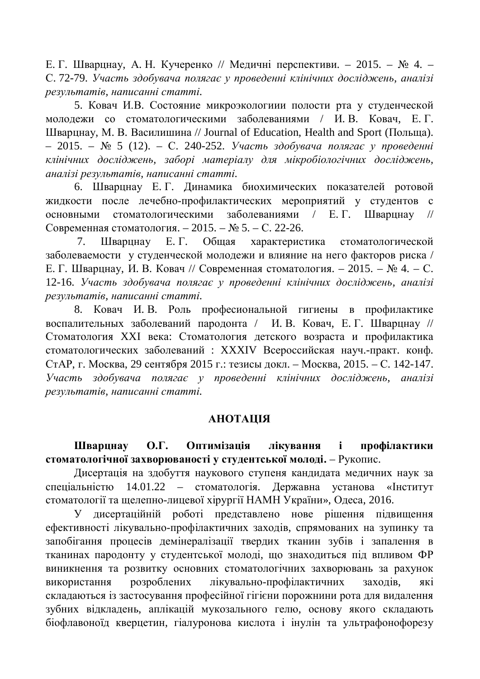Е. Г. Шварцнау, А. Н. Кучеренко // Медичні перспективи. – 2015. – № 4. – С. 72-79. Участь здобувача полягає у проведенні клінічних досліджень, аналізі  $pesv<sub>I</sub> b<sub>EM</sub> ami<sub>6</sub>, \n *Hanucahhi cmammi*.$ 

5. Ковач И.В. Состояние микроэкологиии полости рта у студенческой молодежи со стоматологическими заболеваниями / И.В. Ковач, Е.Г. Шварцнау, М. В. Василишина // Journal of Education, Health and Sport (Польща). – 2015. – № 5 (12). – С. 240-252. Участь здобувача полягає у проведенні клінічних досліджень, заборі матеріалу для мікробіологічних досліджень, *ɚɧɚɥɿɡɿɪɟɡɭɥɶɬɚɬɿɜ, ɧɚɩɢɫɚɧɧɿɫɬɚɬɬɿ.*

6. Шварцнау Е. Г. Динамика биохимических показателей ротовой жидкости после лечебно-профилактических мероприятий у студентов с основными стоматологическими заболеваниями / Е.Г. Шварцнау // Современная стоматология. – 2015. –  $N_2$  5. – С. 22-26.

7. Шварцнау Е. Г. Общая характеристика стоматологической заболеваемости у студенческой молодежи и влияние на него факторов риска / Е. Г. Шварцнау, И. В. Ковач // Современная стоматология. – 2015. – № 4. – С. 12-16. Участь здобувача полягає у проведенні клінічних досліджень, аналізі  $pesv<sub>I</sub> b<sub>EM</sub> amia, H<sub>AN</sub>ucан*н*i cm<sub>ammi</sub>.$ 

8. Ковач И. В. Роль професиональной гигиены в профилактике воспалительных заболеваний пародонта / И. В. Ковач, Е. Г. Шварцнау // Стоматология XXI века: Стоматология детского возраста и профилактика стоматологических заболеваний : XXXIV Всероссийская науч.-практ. конф. СтАР, г. Москва, 29 сентября 2015 г.: тезисы докл. – Москва, 2015. – С. 142-147. **Участь** здобувача полягає у проведенні клінічних досліджень, аналізі  $pesy_1$ *ьтатів*, написанні статті.

#### *<u>RIJIATOHA</u>*

Шваринау О.Г. Оптимізація лікування і профілактики **стоматологічної захворюваності у студентської молоді.** – Рукопис.

Дисертація на здобуття наукового ступеня кандидата медичних наук за спеціальністю 14.01.22 – стоматологія. Державна установа «Інститут стоматології та щелепно-лицевої хірургії НАМН України», Одеса, 2016.

У дисертаційній роботі представлено нове рішення підвищення ефективності лікувально-профілактичних заходів, спрямованих на зупинку та запобігання процесів демінералізації твердих тканин зубів і запалення в тканинах пародонту у студентської молоді, що знаходиться під впливом ФР виникнення та розвитку основних стоматологічних захворювань за рахунок використання розроблених лікувально-профілактичних заходів, які складаються із застосування професійної гігієни порожнини рота для видалення зубних відкладень, аплікацій мукозального гелю, основу якого складають біофлавоноїд кверцетин, гіалуронова кислота і інулін та ультрафонофорезу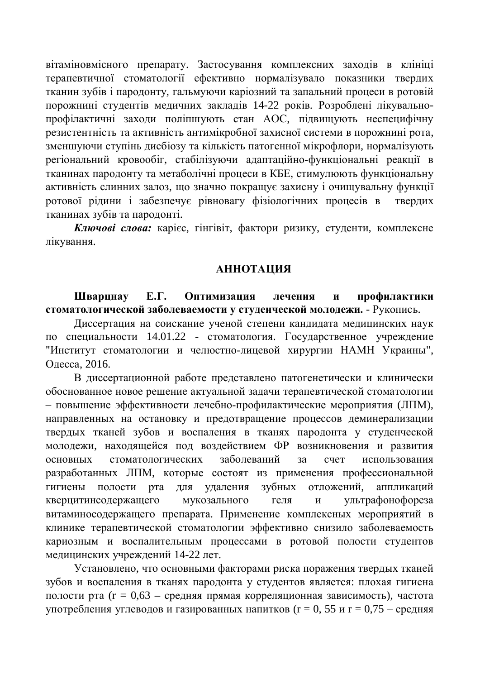вітаміновмісного препарату. Застосування комплексних заходів в клініці терапевтичної стоматології ефективно нормалізувало показники твердих тканин зубів і пародонту, гальмуючи каріозний та запальний процеси в ротовій порожнині студентів медичних закладів 14-22 років. Розроблені лікувальнопрофілактичні заходи поліпшують стан АОС, підвищують неспецифічну резистентність та активність антимікробної захисної системи в порожнині рота, зменшуючи ступінь дисбіозу та кількість патогенної мікрофлори, нормалізують регіональний кровообіг, стабілізуючи адаптаційно-функціональні реакції в тканинах пародонту та метаболічні процеси в КБЕ, стимулюють функціональну активність слинних залоз, що значно покращує захисну і очищувальну функції ротової рідини і забезпечує рівновагу фізіологічних процесів в твердих тканинах зубів та пародонті.

Ключові слова: карієс, гінгівіт, фактори ризику, студенти, комплексне лікування.

#### **АННОТАЦИЯ**

Шварцнау Е.Г. Оптимизация лечения и профилактики стоматологической заболеваемости у студенческой молодежи. - Рукопись.

Диссертация на соискание ученой степени кандидата медицинских наук по специальности 14.01.22 - стоматология. Государственное учреждение "Институт стоматологии и челюстно-лицевой хирургии НАМН Украины", Одесса, 2016.

В диссертационной работе представлено патогенетически и клинически обоснованное новое решение актуальной задачи терапевтической стоматологии – повышение эффективности лечебно-профилактические мероприятия (ЛПМ), направленных на остановку и предотвращение процессов деминерализации твердых тканей зубов и воспаления в тканях пародонта у студенческой молодежи, нахоляшейся под воздействием ФР возникновения и развития основных стоматологических заболеваний за счет использования разработанных ЛПМ, которые состоят из применения профессиональной гигиены полости рта для удаления зубных отложений, аппликаций кверцитинсодержащего мукозального геля и ультрафонофореза витаминосодержащего препарата. Применение комплексных мероприятий в клинике терапевтической стоматологии эффективно снизило заболеваемость кариозным и воспалительным процессами в ротовой полости студентов медицинских учреждений 14-22 лет.

Установлено, что основными факторами риска поражения твердых тканей зубов и воспаления в тканях пародонта у студентов является: плохая гигиена полости рта ( $r = 0.63$  – средняя прямая корреляционная зависимость), частота употребления углеводов и газированных напитков ( $r = 0$ , 55 и  $r = 0.75$  – средняя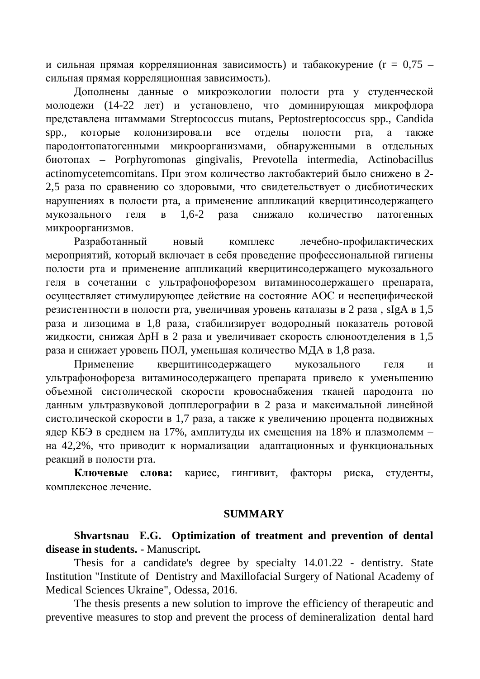и сильная прямая корреляционная зависимость) и табакокурение ( $r = 0.75$  – сильная прямая корреляционная зависимость).

Дополнены данные о микроэкологии полости рта у студенческой молодежи (14-22 лет) и установлено, что доминирующая микрофлора представлена штаммами Streptococcus mutans, Peptostreptococcus spp., Candida spp., которые колонизировали все отделы полости рта, а также пародонтопатогенными микроорганизмами, обнаруженными в отдельных ɛɢɨɬɨɩɚɯ – Porphyromonas gingivalis, Prevotella intermedia, Actinobacillus actinomycetemcomitans. При этом количество лактобактерий было снижено в 2-2,5 раза по сравнению со здоровыми, что свидетельствует о дисбиотических нарушениях в полости рта, а применение аппликаций кверцитинсодержащего мукозального геля в 1,6-2 раза снижало количество патогенных микроорганизмов.

Разработанный новый комплекс лечебно-профилактических мероприятий, который включает в себя проведение профессиональной гигиены полости рта и применение аппликаций кверцитинсодержащего мукозального геля в сочетании с ультрафонофорезом витаминосодержащего препарата, осуществляет стимулирующее действие на состояние АОС и неспецифической резистентности в полости рта, увеличивая уровень каталазы в 2 раза, sIgA в 1,5 раза и лизоцима в 1,8 раза, стабилизирует водородный показатель ротовой жидкости, снижая  $\Delta$ р $H$  в 2 раза и увеличивает скорость слюноотделения в 1,5 раза и снижает уровень ПОЛ, уменьшая количество МДА в 1,8 раза.

Применение кверцитинсодержащего мукозального геля и ультрафонофореза витаминосодержащего препарата привело к уменьшению объемной систолической скорости кровоснабжения тканей пародонта по данным ультразвуковой допплерографии в 2 раза и максимальной линейной систолической скорости в 1,7 раза, а также к увеличению процента подвижных ядер КБЭ в среднем на 17%, амплитуды их смещения на 18% и плазмолемм – на 42,2%, что приводит к нормализации адаптационных и функциональных реакций в полости рта.

**Ключевые слова:** кариес, гингивит, факторы риска, студенты, комплексное лечение.

#### **SUMMARY**

**Shvartsnau ȿ.G. Optimization of treatment and prevention of dental disease in students. -** Manuscript**.**

Thesis for a candidate's degree by specialty 14.01.22 - dentistry. State Institution "Institute of Dentistry and Maxillofacial Surgery of National Academy of Medical Sciences Ukraine", Odessa, 2016.

The thesis presents a new solution to improve the efficiency of therapeutic and preventive measures to stop and prevent the process of demineralization dental hard